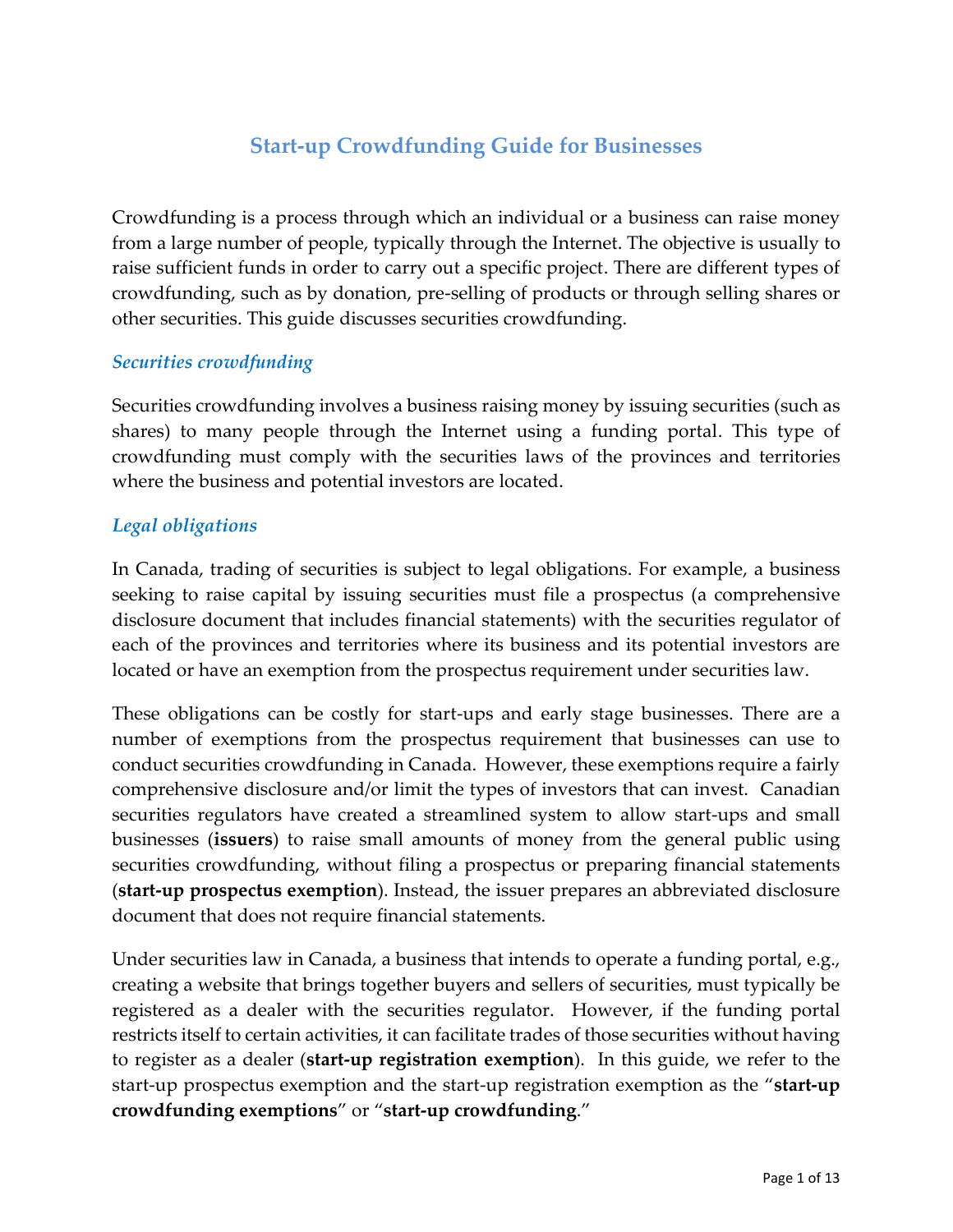# **Start-up Crowdfunding Guide for Businesses**

Crowdfunding is a process through which an individual or a business can raise money from a large number of people, typically through the Internet. The objective is usually to raise sufficient funds in order to carry out a specific project. There are different types of crowdfunding, such as by donation, pre-selling of products or through selling shares or other securities. This guide discusses securities crowdfunding.

#### *Securities crowdfunding*

Securities crowdfunding involves a business raising money by issuing securities (such as shares) to many people through the Internet using a funding portal. This type of crowdfunding must comply with the securities laws of the provinces and territories where the business and potential investors are located.

## *Legal obligations*

In Canada, trading of securities is subject to legal obligations. For example, a business seeking to raise capital by issuing securities must file a prospectus (a comprehensive disclosure document that includes financial statements) with the securities regulator of each of the provinces and territories where its business and its potential investors are located or have an exemption from the prospectus requirement under securities law.

These obligations can be costly for start-ups and early stage businesses. There are a number of exemptions from the prospectus requirement that businesses can use to conduct securities crowdfunding in Canada. However, these exemptions require a fairly comprehensive disclosure and/or limit the types of investors that can invest. Canadian securities regulators have created a streamlined system to allow start-ups and small businesses (**issuers**) to raise small amounts of money from the general public using securities crowdfunding, without filing a prospectus or preparing financial statements (**start-up prospectus exemption**). Instead, the issuer prepares an abbreviated disclosure document that does not require financial statements.

Under securities law in Canada, a business that intends to operate a funding portal, e.g., creating a website that brings together buyers and sellers of securities, must typically be registered as a dealer with the securities regulator. However, if the funding portal restricts itself to certain activities, it can facilitate trades of those securities without having to register as a dealer (**start-up registration exemption**). In this guide, we refer to the start-up prospectus exemption and the start-up registration exemption as the "**start-up crowdfunding exemptions**" or "**start-up crowdfunding**."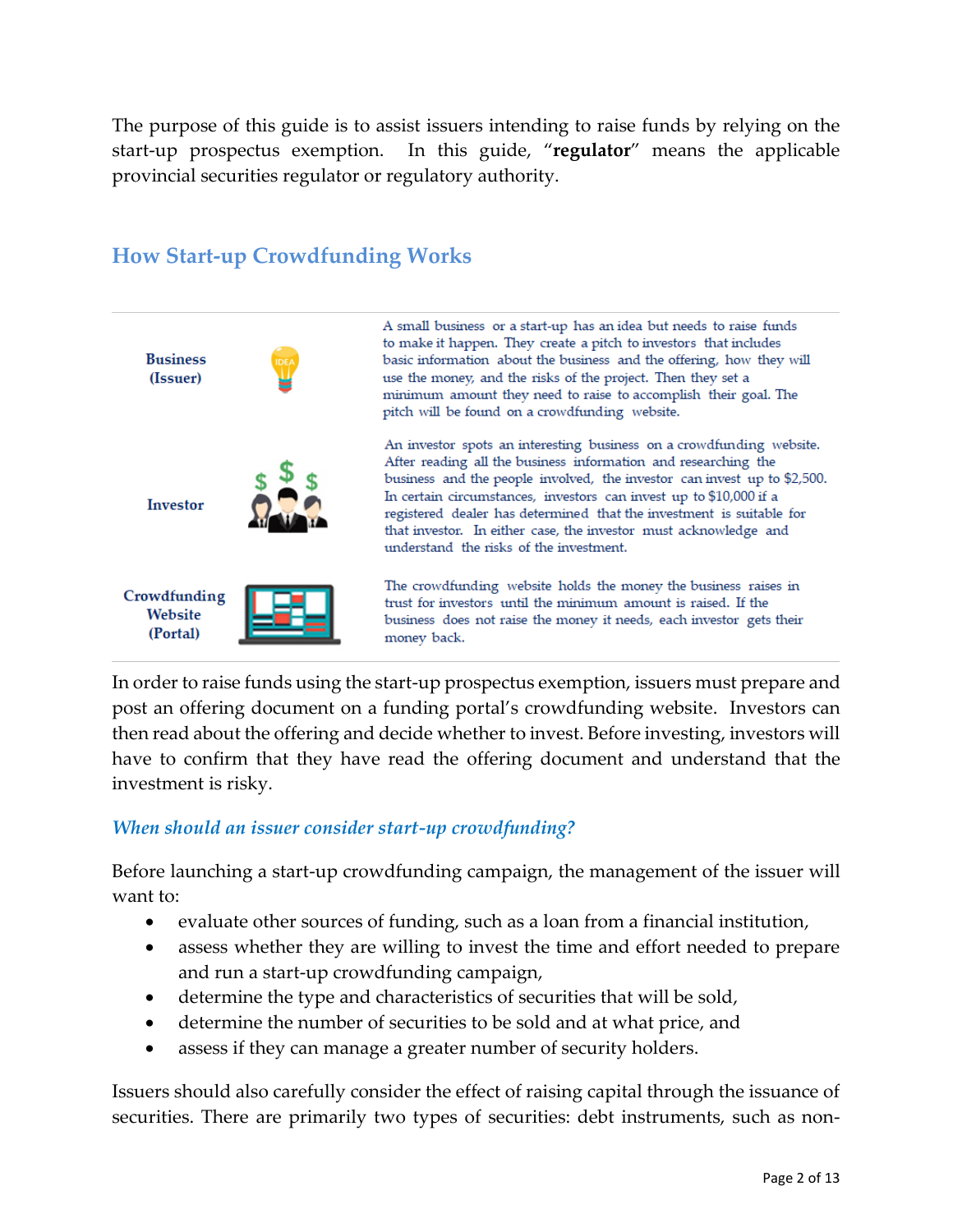The purpose of this guide is to assist issuers intending to raise funds by relying on the start-up prospectus exemption. In this guide, "**regulator**" means the applicable provincial securities regulator or regulatory authority.

## **How Start-up Crowdfunding Works**



A small business or a start-up has an idea but needs to raise funds to make it happen. They create a pitch to investors that includes basic information about the business and the offering, how they will use the money, and the risks of the project. Then they set a minimum amount they need to raise to accomplish their goal. The pitch will be found on a crowdfunding website.

An investor spots an interesting business on a crowdfunding website. After reading all the business information and researching the business and the people involved, the investor can invest up to \$2,500. In certain circumstances, investors can invest up to \$10,000 if a registered dealer has determined that the investment is suitable for that investor. In either case, the investor must acknowledge and understand the risks of the investment.

The crowdfunding website holds the money the business raises in trust for investors until the minimum amount is raised. If the business does not raise the money it needs, each investor gets their money back.

In order to raise funds using the start-up prospectus exemption, issuers must prepare and post an offering document on a funding portal's crowdfunding website. Investors can then read about the offering and decide whether to invest. Before investing, investors will have to confirm that they have read the offering document and understand that the investment is risky.

#### *When should an issuer consider start-up crowdfunding?*

Before launching a start-up crowdfunding campaign, the management of the issuer will want to:

- evaluate other sources of funding, such as a loan from a financial institution,
- assess whether they are willing to invest the time and effort needed to prepare and run a start-up crowdfunding campaign,
- determine the type and characteristics of securities that will be sold,
- determine the number of securities to be sold and at what price, and
- assess if they can manage a greater number of security holders.

Issuers should also carefully consider the effect of raising capital through the issuance of securities. There are primarily two types of securities: debt instruments, such as non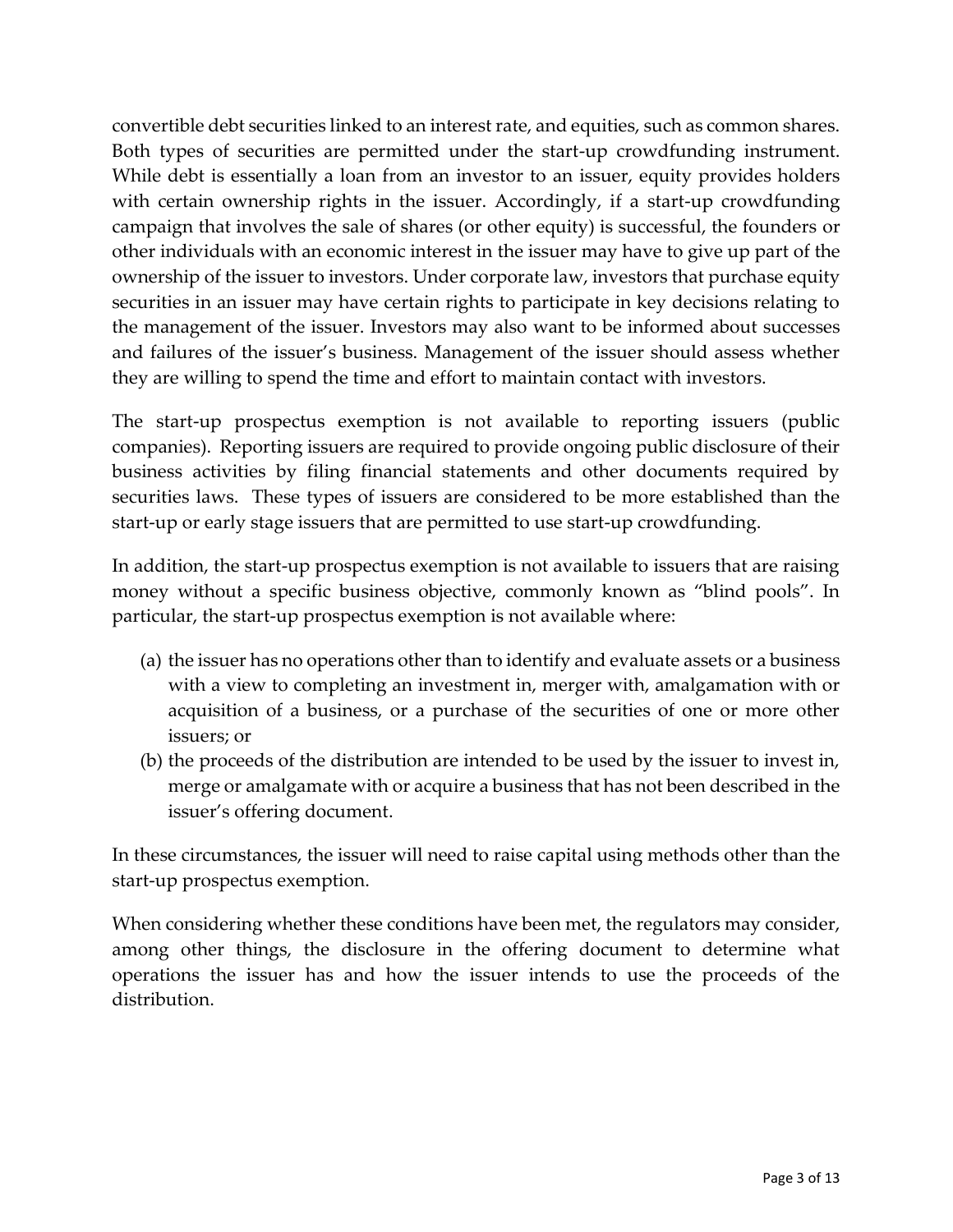convertible debt securities linked to an interest rate, and equities, such as common shares. Both types of securities are permitted under the start-up crowdfunding instrument. While debt is essentially a loan from an investor to an issuer, equity provides holders with certain ownership rights in the issuer. Accordingly, if a start-up crowdfunding campaign that involves the sale of shares (or other equity) is successful, the founders or other individuals with an economic interest in the issuer may have to give up part of the ownership of the issuer to investors. Under corporate law, investors that purchase equity securities in an issuer may have certain rights to participate in key decisions relating to the management of the issuer. Investors may also want to be informed about successes and failures of the issuer's business. Management of the issuer should assess whether they are willing to spend the time and effort to maintain contact with investors.

The start-up prospectus exemption is not available to reporting issuers (public companies). Reporting issuers are required to provide ongoing public disclosure of their business activities by filing financial statements and other documents required by securities laws. These types of issuers are considered to be more established than the start-up or early stage issuers that are permitted to use start-up crowdfunding.

In addition, the start-up prospectus exemption is not available to issuers that are raising money without a specific business objective, commonly known as "blind pools". In particular, the start-up prospectus exemption is not available where:

- (a) the issuer has no operations other than to identify and evaluate assets or a business with a view to completing an investment in, merger with, amalgamation with or acquisition of a business, or a purchase of the securities of one or more other issuers; or
- (b) the proceeds of the distribution are intended to be used by the issuer to invest in, merge or amalgamate with or acquire a business that has not been described in the issuer's offering document.

In these circumstances, the issuer will need to raise capital using methods other than the start-up prospectus exemption.

When considering whether these conditions have been met, the regulators may consider, among other things, the disclosure in the offering document to determine what operations the issuer has and how the issuer intends to use the proceeds of the distribution.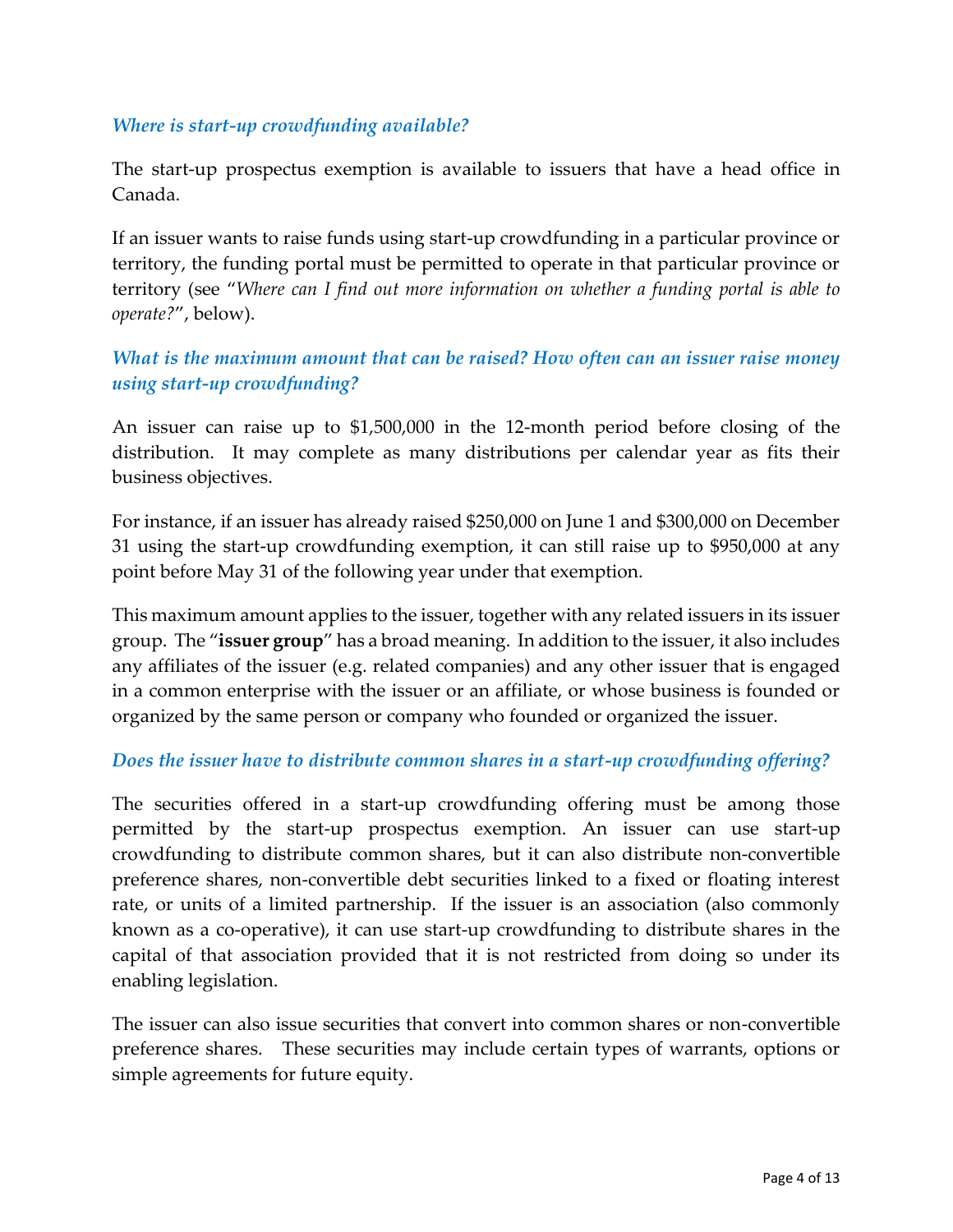#### *Where is start-up crowdfunding available?*

The start-up prospectus exemption is available to issuers that have a head office in Canada.

If an issuer wants to raise funds using start-up crowdfunding in a particular province or territory, the funding portal must be permitted to operate in that particular province or territory (see "*Where can I find out more information on whether a funding portal is able to operate?*", below).

## *What is the maximum amount that can be raised? How often can an issuer raise money using start-up crowdfunding?*

An issuer can raise up to \$1,500,000 in the 12-month period before closing of the distribution. It may complete as many distributions per calendar year as fits their business objectives.

For instance, if an issuer has already raised \$250,000 on June 1 and \$300,000 on December 31 using the start-up crowdfunding exemption, it can still raise up to \$950,000 at any point before May 31 of the following year under that exemption.

This maximum amount applies to the issuer, together with any related issuers in its issuer group. The "**issuer group**" has a broad meaning. In addition to the issuer, it also includes any affiliates of the issuer (e.g. related companies) and any other issuer that is engaged in a common enterprise with the issuer or an affiliate, or whose business is founded or organized by the same person or company who founded or organized the issuer.

#### *Does the issuer have to distribute common shares in a start-up crowdfunding offering?*

The securities offered in a start-up crowdfunding offering must be among those permitted by the start-up prospectus exemption. An issuer can use start-up crowdfunding to distribute common shares, but it can also distribute non-convertible preference shares, non-convertible debt securities linked to a fixed or floating interest rate, or units of a limited partnership. If the issuer is an association (also commonly known as a co-operative), it can use start-up crowdfunding to distribute shares in the capital of that association provided that it is not restricted from doing so under its enabling legislation.

The issuer can also issue securities that convert into common shares or non-convertible preference shares. These securities may include certain types of warrants, options or simple agreements for future equity.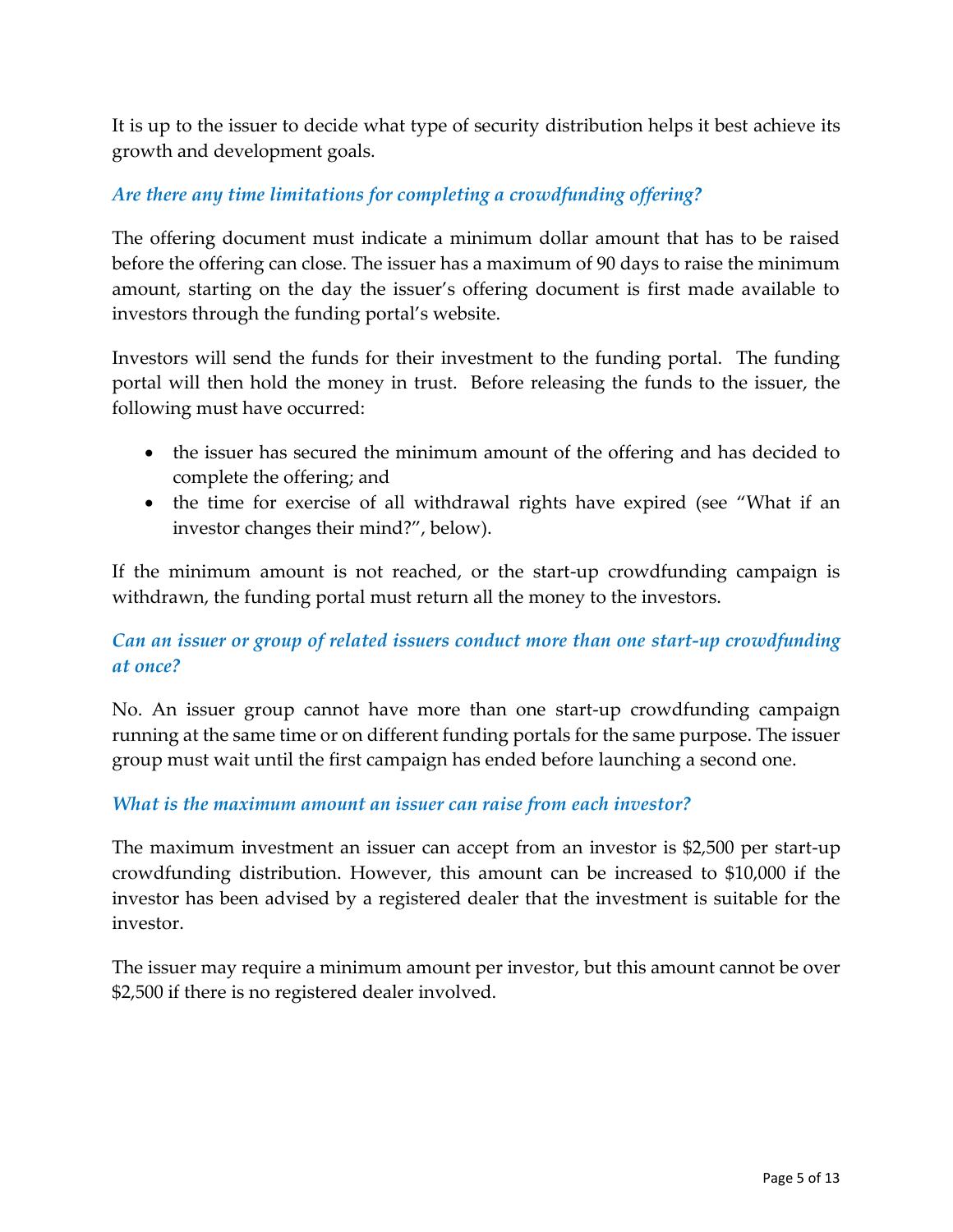It is up to the issuer to decide what type of security distribution helps it best achieve its growth and development goals.

#### *Are there any time limitations for completing a crowdfunding offering?*

The offering document must indicate a minimum dollar amount that has to be raised before the offering can close. The issuer has a maximum of 90 days to raise the minimum amount, starting on the day the issuer's offering document is first made available to investors through the funding portal's website.

Investors will send the funds for their investment to the funding portal. The funding portal will then hold the money in trust. Before releasing the funds to the issuer, the following must have occurred:

- the issuer has secured the minimum amount of the offering and has decided to complete the offering; and
- the time for exercise of all withdrawal rights have expired (see "What if an investor changes their mind?", below).

If the minimum amount is not reached, or the start-up crowdfunding campaign is withdrawn, the funding portal must return all the money to the investors.

## *Can an issuer or group of related issuers conduct more than one start-up crowdfunding at once?*

No. An issuer group cannot have more than one start-up crowdfunding campaign running at the same time or on different funding portals for the same purpose. The issuer group must wait until the first campaign has ended before launching a second one.

#### *What is the maximum amount an issuer can raise from each investor?*

The maximum investment an issuer can accept from an investor is \$2,500 per start-up crowdfunding distribution. However, this amount can be increased to \$10,000 if the investor has been advised by a registered dealer that the investment is suitable for the investor.

The issuer may require a minimum amount per investor, but this amount cannot be over \$2,500 if there is no registered dealer involved.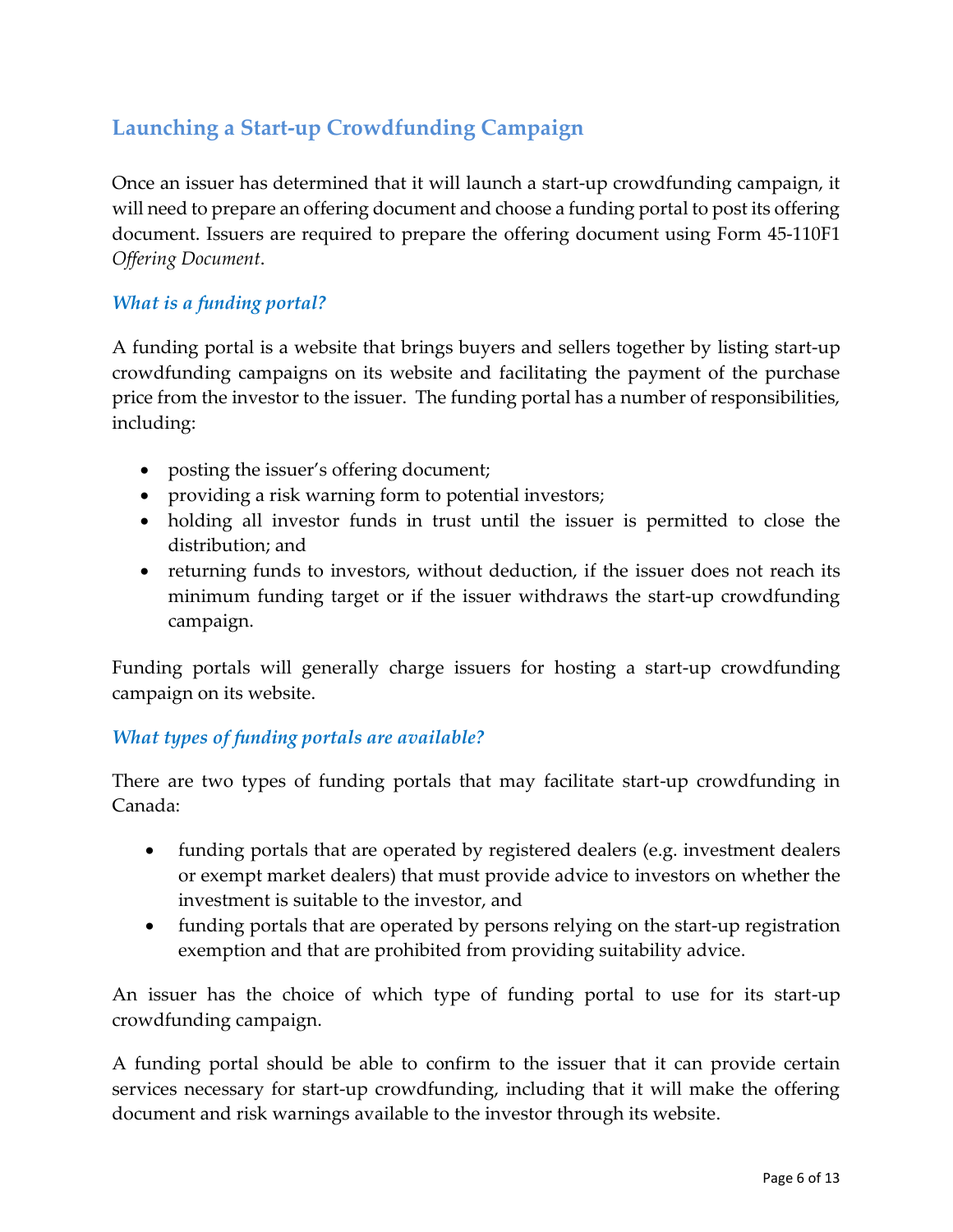## **Launching a Start-up Crowdfunding Campaign**

Once an issuer has determined that it will launch a start-up crowdfunding campaign, it will need to prepare an offering document and choose a funding portal to post its offering document. Issuers are required to prepare the offering document using Form 45-110F1 *Offering Document*.

## *What is a funding portal?*

A funding portal is a website that brings buyers and sellers together by listing start-up crowdfunding campaigns on its website and facilitating the payment of the purchase price from the investor to the issuer. The funding portal has a number of responsibilities, including:

- posting the issuer's offering document;
- providing a risk warning form to potential investors;
- holding all investor funds in trust until the issuer is permitted to close the distribution; and
- returning funds to investors, without deduction, if the issuer does not reach its minimum funding target or if the issuer withdraws the start-up crowdfunding campaign.

Funding portals will generally charge issuers for hosting a start-up crowdfunding campaign on its website.

## *What types of funding portals are available?*

There are two types of funding portals that may facilitate start-up crowdfunding in Canada:

- funding portals that are operated by registered dealers (e.g. investment dealers or exempt market dealers) that must provide advice to investors on whether the investment is suitable to the investor, and
- funding portals that are operated by persons relying on the start-up registration exemption and that are prohibited from providing suitability advice.

An issuer has the choice of which type of funding portal to use for its start-up crowdfunding campaign.

A funding portal should be able to confirm to the issuer that it can provide certain services necessary for start-up crowdfunding, including that it will make the offering document and risk warnings available to the investor through its website.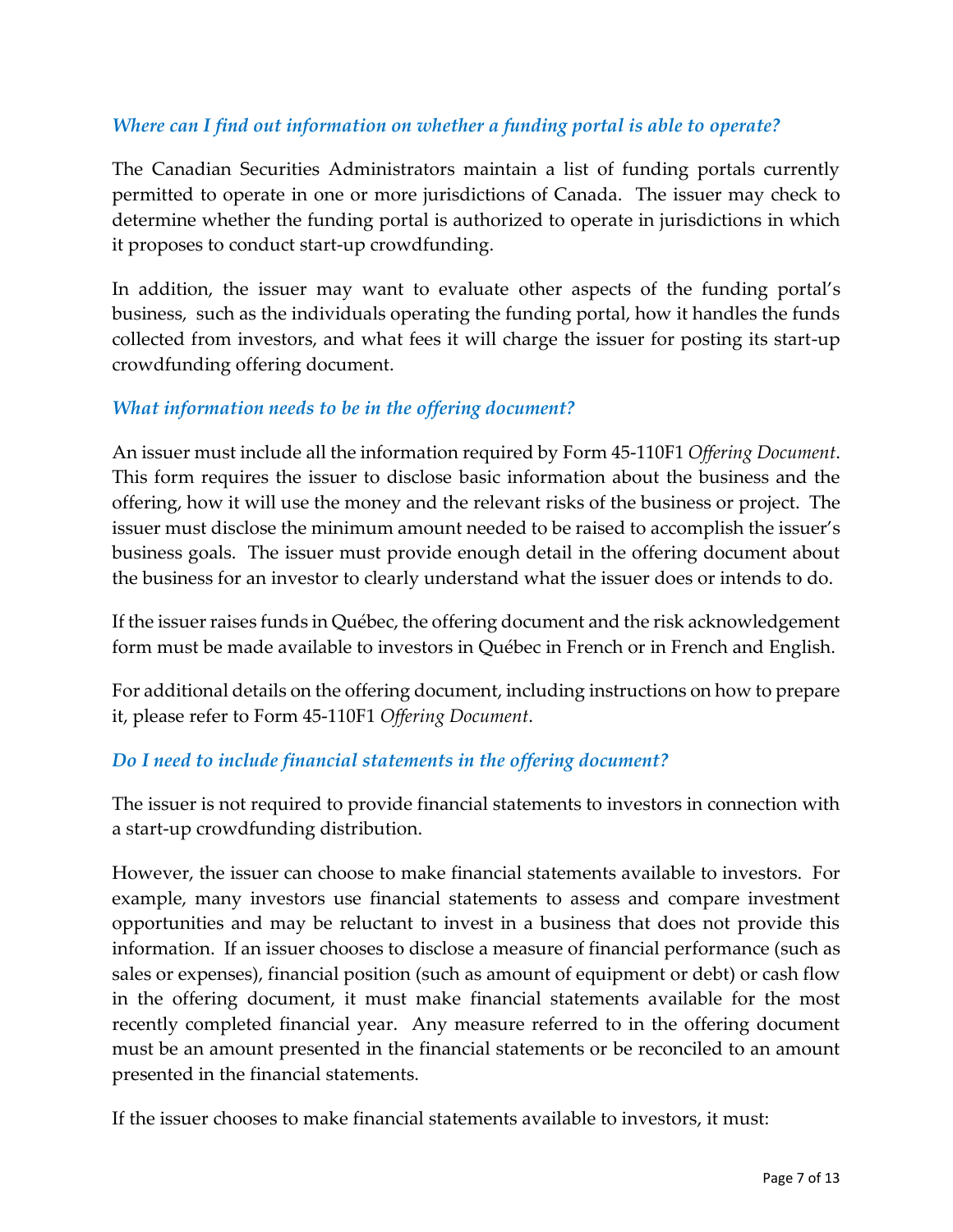## *Where can I find out information on whether a funding portal is able to operate?*

The Canadian Securities Administrators maintain a list of funding portals currently permitted to operate in one or more jurisdictions of Canada. The issuer may check to determine whether the funding portal is authorized to operate in jurisdictions in which it proposes to conduct start-up crowdfunding.

In addition, the issuer may want to evaluate other aspects of the funding portal's business, such as the individuals operating the funding portal, how it handles the funds collected from investors, and what fees it will charge the issuer for posting its start-up crowdfunding offering document.

#### *What information needs to be in the offering document?*

An issuer must include all the information required by Form 45-110F1 *Offering Document*. This form requires the issuer to disclose basic information about the business and the offering, how it will use the money and the relevant risks of the business or project. The issuer must disclose the minimum amount needed to be raised to accomplish the issuer's business goals. The issuer must provide enough detail in the offering document about the business for an investor to clearly understand what the issuer does or intends to do.

If the issuer raises funds in Québec, the offering document and the risk acknowledgement form must be made available to investors in Québec in French or in French and English.

For additional details on the offering document, including instructions on how to prepare it, please refer to Form 45-110F1 *Offering Document*.

## *Do I need to include financial statements in the offering document?*

The issuer is not required to provide financial statements to investors in connection with a start-up crowdfunding distribution.

However, the issuer can choose to make financial statements available to investors. For example, many investors use financial statements to assess and compare investment opportunities and may be reluctant to invest in a business that does not provide this information. If an issuer chooses to disclose a measure of financial performance (such as sales or expenses), financial position (such as amount of equipment or debt) or cash flow in the offering document, it must make financial statements available for the most recently completed financial year. Any measure referred to in the offering document must be an amount presented in the financial statements or be reconciled to an amount presented in the financial statements.

If the issuer chooses to make financial statements available to investors, it must: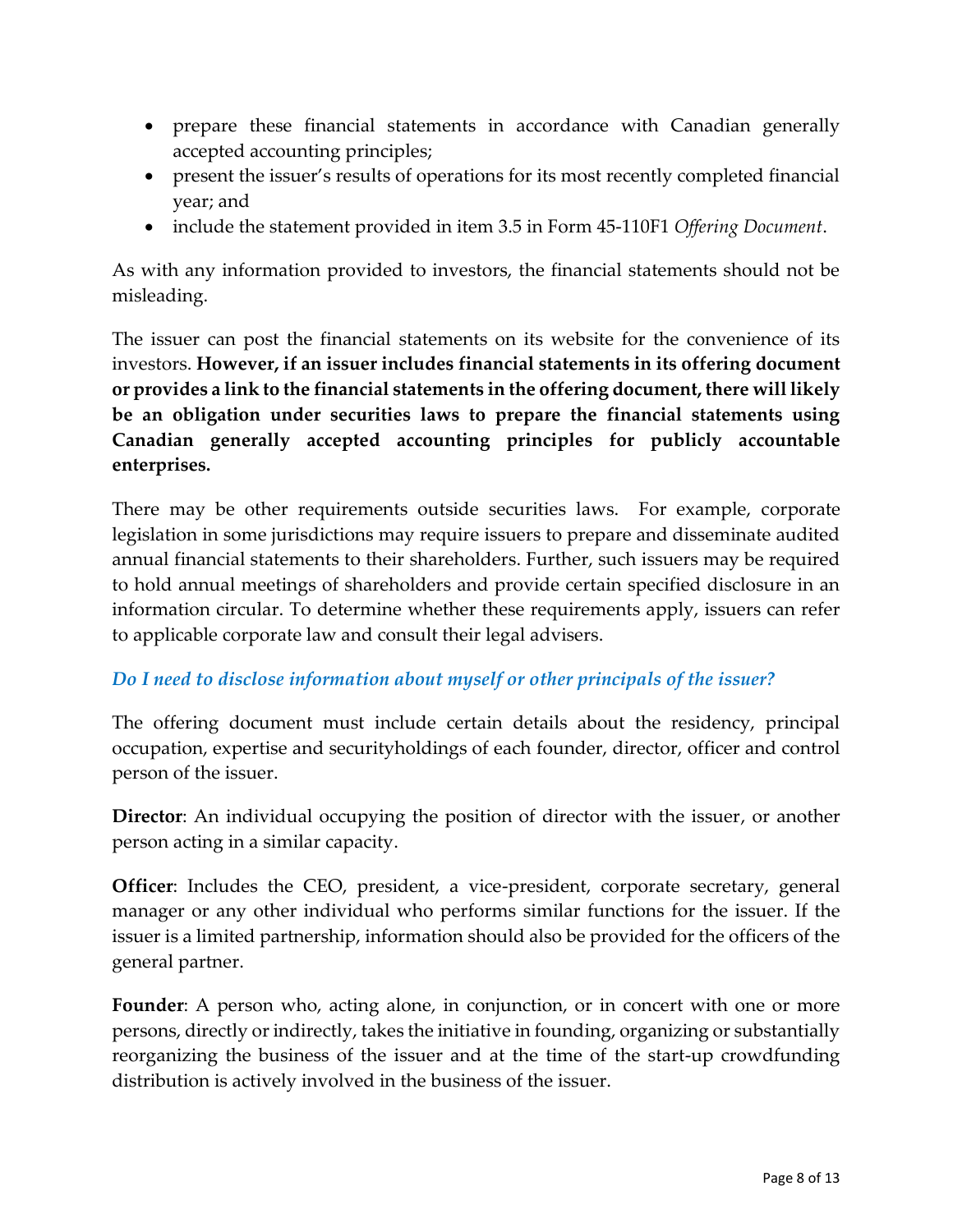- prepare these financial statements in accordance with Canadian generally accepted accounting principles;
- present the issuer's results of operations for its most recently completed financial year; and
- include the statement provided in item 3.5 in Form 45-110F1 *Offering Document*.

As with any information provided to investors, the financial statements should not be misleading.

The issuer can post the financial statements on its website for the convenience of its investors. **However, if an issuer includes financial statements in its offering document or provides a link to the financial statements in the offering document, there will likely be an obligation under securities laws to prepare the financial statements using Canadian generally accepted accounting principles for publicly accountable enterprises.**

There may be other requirements outside securities laws. For example, corporate legislation in some jurisdictions may require issuers to prepare and disseminate audited annual financial statements to their shareholders. Further, such issuers may be required to hold annual meetings of shareholders and provide certain specified disclosure in an information circular. To determine whether these requirements apply, issuers can refer to applicable corporate law and consult their legal advisers.

## *Do I need to disclose information about myself or other principals of the issuer?*

The offering document must include certain details about the residency, principal occupation, expertise and securityholdings of each founder, director, officer and control person of the issuer.

**Director**: An individual occupying the position of director with the issuer, or another person acting in a similar capacity.

**Officer**: Includes the CEO, president, a vice-president, corporate secretary, general manager or any other individual who performs similar functions for the issuer. If the issuer is a limited partnership, information should also be provided for the officers of the general partner.

**Founder:** A person who, acting alone, in conjunction, or in concert with one or more persons, directly or indirectly, takes the initiative in founding, organizing or substantially reorganizing the business of the issuer and at the time of the start-up crowdfunding distribution is actively involved in the business of the issuer.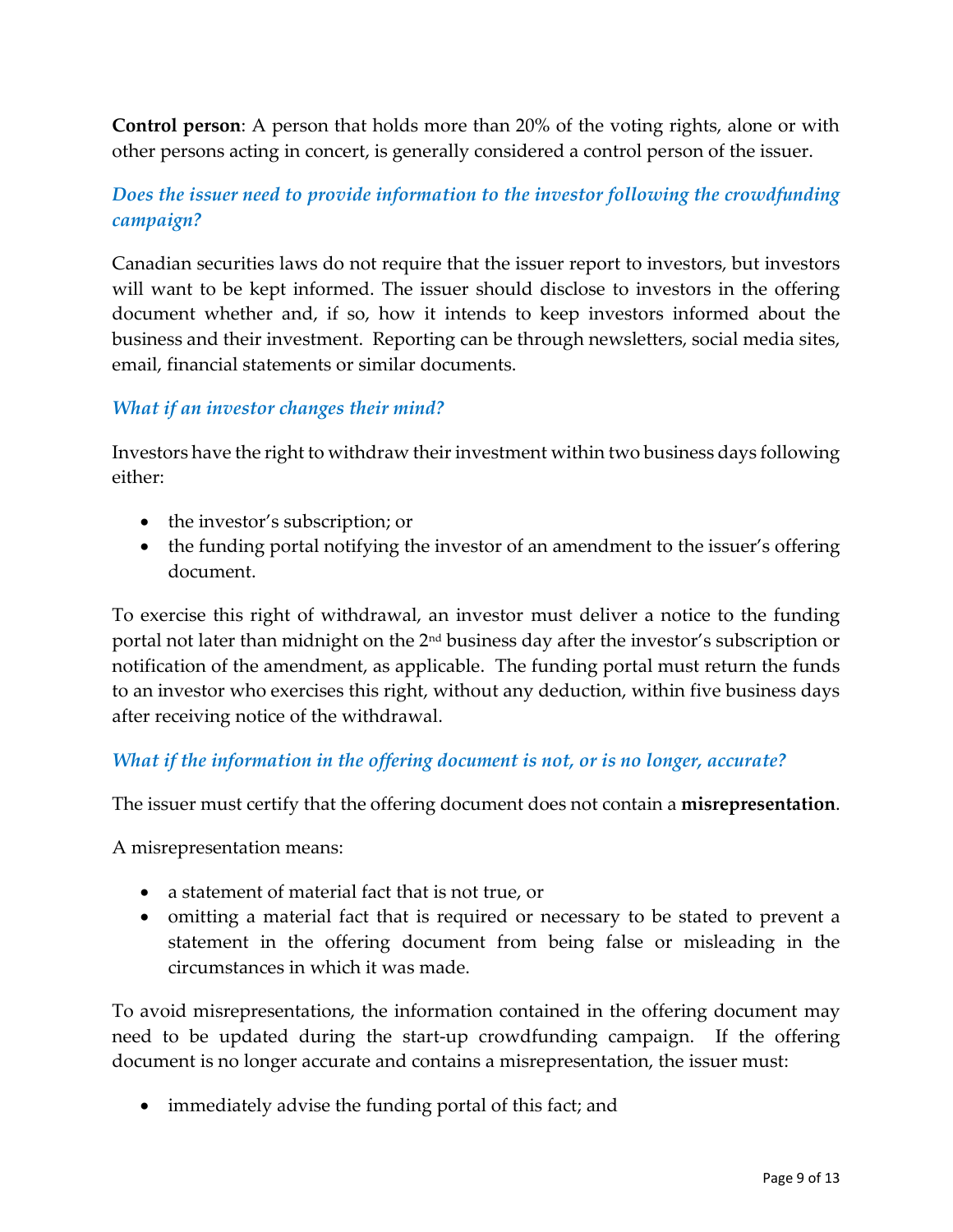**Control person**: A person that holds more than 20% of the voting rights, alone or with other persons acting in concert, is generally considered a control person of the issuer.

## *Does the issuer need to provide information to the investor following the crowdfunding campaign?*

Canadian securities laws do not require that the issuer report to investors, but investors will want to be kept informed. The issuer should disclose to investors in the offering document whether and, if so, how it intends to keep investors informed about the business and their investment. Reporting can be through newsletters, social media sites, email, financial statements or similar documents.

#### *What if an investor changes their mind?*

Investors have the right to withdraw their investment within two business days following either:

- the investor's subscription; or
- the funding portal notifying the investor of an amendment to the issuer's offering document.

To exercise this right of withdrawal, an investor must deliver a notice to the funding portal not later than midnight on the 2nd business day after the investor's subscription or notification of the amendment, as applicable. The funding portal must return the funds to an investor who exercises this right, without any deduction, within five business days after receiving notice of the withdrawal.

## *What if the information in the offering document is not, or is no longer, accurate?*

The issuer must certify that the offering document does not contain a **misrepresentation**.

A misrepresentation means:

- a statement of material fact that is not true, or
- omitting a material fact that is required or necessary to be stated to prevent a statement in the offering document from being false or misleading in the circumstances in which it was made.

To avoid misrepresentations, the information contained in the offering document may need to be updated during the start-up crowdfunding campaign. If the offering document is no longer accurate and contains a misrepresentation, the issuer must:

immediately advise the funding portal of this fact; and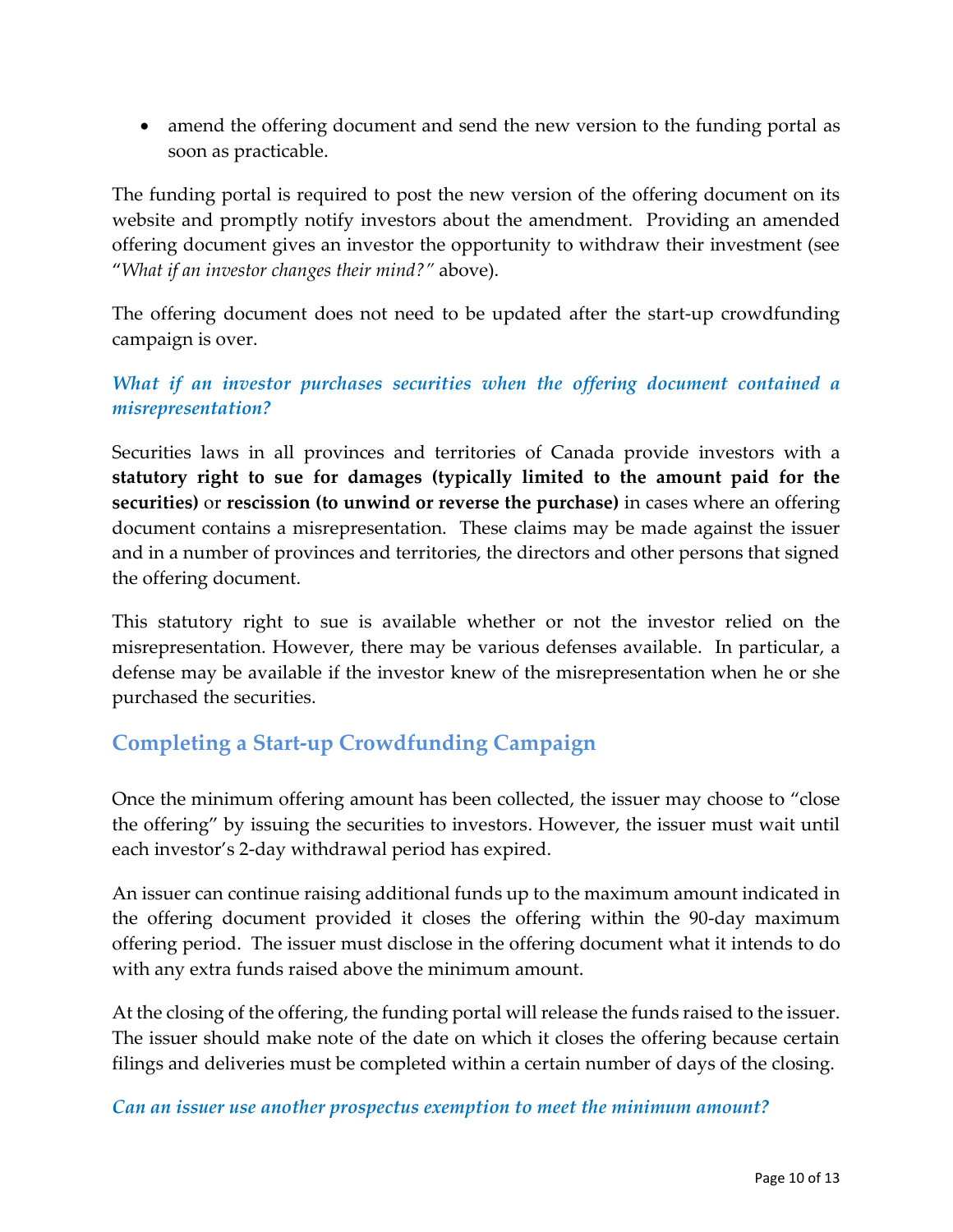• amend the offering document and send the new version to the funding portal as soon as practicable.

The funding portal is required to post the new version of the offering document on its website and promptly notify investors about the amendment. Providing an amended offering document gives an investor the opportunity to withdraw their investment (see "*What if an investor changes their mind?"* above).

The offering document does not need to be updated after the start-up crowdfunding campaign is over.

*What if an investor purchases securities when the offering document contained a misrepresentation?*

Securities laws in all provinces and territories of Canada provide investors with a **statutory right to sue for damages (typically limited to the amount paid for the securities)** or **rescission (to unwind or reverse the purchase)** in cases where an offering document contains a misrepresentation. These claims may be made against the issuer and in a number of provinces and territories, the directors and other persons that signed the offering document.

This statutory right to sue is available whether or not the investor relied on the misrepresentation. However, there may be various defenses available. In particular, a defense may be available if the investor knew of the misrepresentation when he or she purchased the securities.

## **Completing a Start-up Crowdfunding Campaign**

Once the minimum offering amount has been collected, the issuer may choose to "close the offering" by issuing the securities to investors. However, the issuer must wait until each investor's 2-day withdrawal period has expired.

An issuer can continue raising additional funds up to the maximum amount indicated in the offering document provided it closes the offering within the 90-day maximum offering period. The issuer must disclose in the offering document what it intends to do with any extra funds raised above the minimum amount.

At the closing of the offering, the funding portal will release the funds raised to the issuer. The issuer should make note of the date on which it closes the offering because certain filings and deliveries must be completed within a certain number of days of the closing.

#### *Can an issuer use another prospectus exemption to meet the minimum amount?*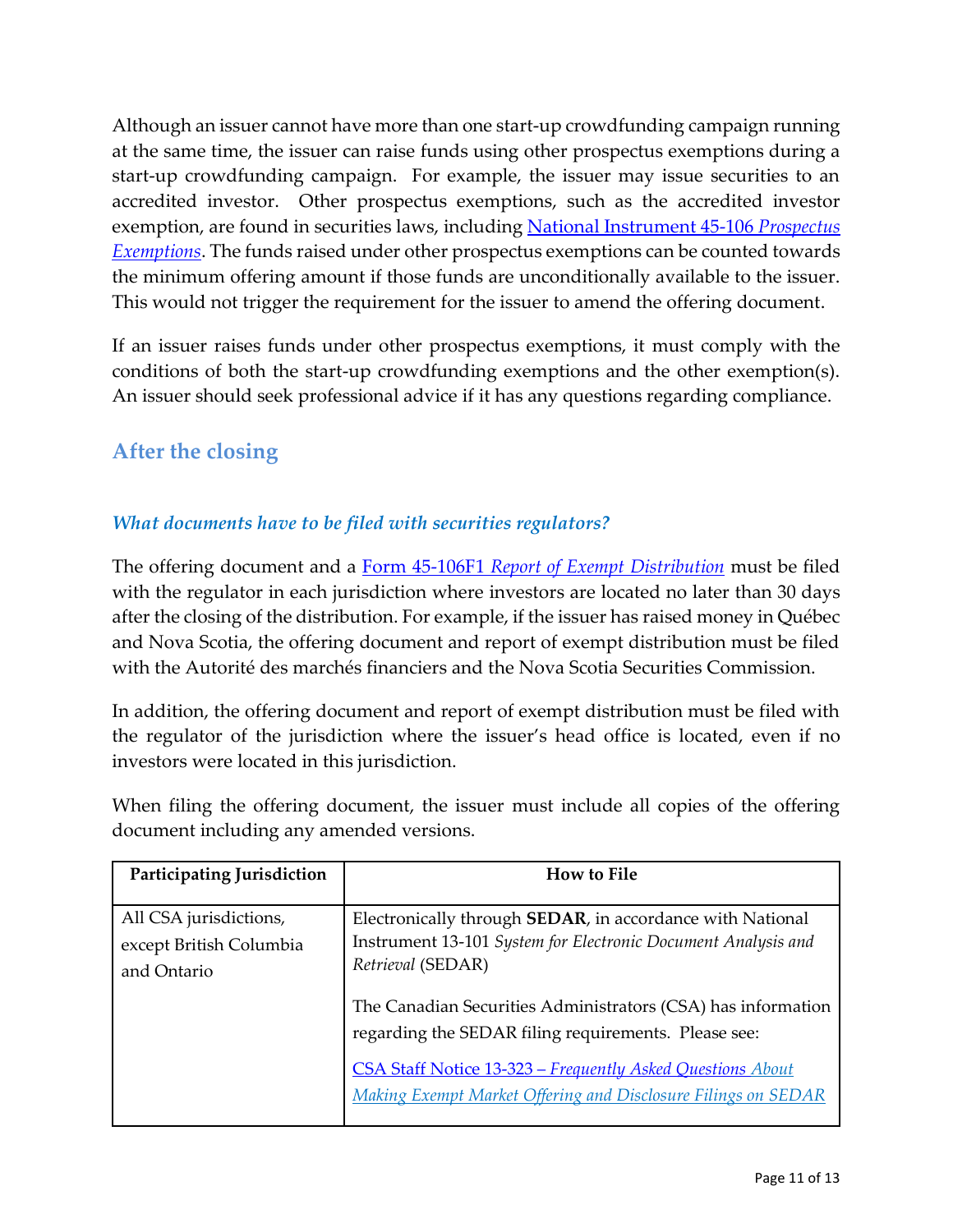Although an issuer cannot have more than one start-up crowdfunding campaign running at the same time, the issuer can raise funds using other prospectus exemptions during a start-up crowdfunding campaign. For example, the issuer may issue securities to an accredited investor. Other prospectus exemptions, such as the accredited investor exemption, are found in securities laws, including [National Instrument 45-106](https://www.bcsc.bc.ca/45-106_%5bNI%5d_05052015_01/) *Prospectus [Exemptions](https://www.bcsc.bc.ca/45-106_%5bNI%5d_05052015_01/)*. The funds raised under other prospectus exemptions can be counted towards the minimum offering amount if those funds are unconditionally available to the issuer. This would not trigger the requirement for the issuer to amend the offering document.

If an issuer raises funds under other prospectus exemptions, it must comply with the conditions of both the start-up crowdfunding exemptions and the other exemption(s). An issuer should seek professional advice if it has any questions regarding compliance.

## **After the closing**

## *What documents have to be filed with securities regulators?*

The offering document and a Form 45-106F1 *[Report of Exempt Distribution](https://www.securities-administrators.ca/industry_resources.aspx?id=1464)* must be filed with the regulator in each jurisdiction where investors are located no later than 30 days after the closing of the distribution. For example, if the issuer has raised money in Québec and Nova Scotia, the offering document and report of exempt distribution must be filed with the Autorité des marchés financiers and the Nova Scotia Securities Commission.

In addition, the offering document and report of exempt distribution must be filed with the regulator of the jurisdiction where the issuer's head office is located, even if no investors were located in this jurisdiction.

| Participating Jurisdiction                                       | <b>How to File</b>                                                                                                                                                                                                                                                                                                                                                                                             |
|------------------------------------------------------------------|----------------------------------------------------------------------------------------------------------------------------------------------------------------------------------------------------------------------------------------------------------------------------------------------------------------------------------------------------------------------------------------------------------------|
| All CSA jurisdictions,<br>except British Columbia<br>and Ontario | Electronically through <b>SEDAR</b> , in accordance with National<br>Instrument 13-101 System for Electronic Document Analysis and<br>Retrieval (SEDAR)<br>The Canadian Securities Administrators (CSA) has information<br>regarding the SEDAR filing requirements. Please see:<br>CSA Staff Notice 13-323 – Frequently Asked Questions About<br>Making Exempt Market Offering and Disclosure Filings on SEDAR |

When filing the offering document, the issuer must include all copies of the offering document including any amended versions.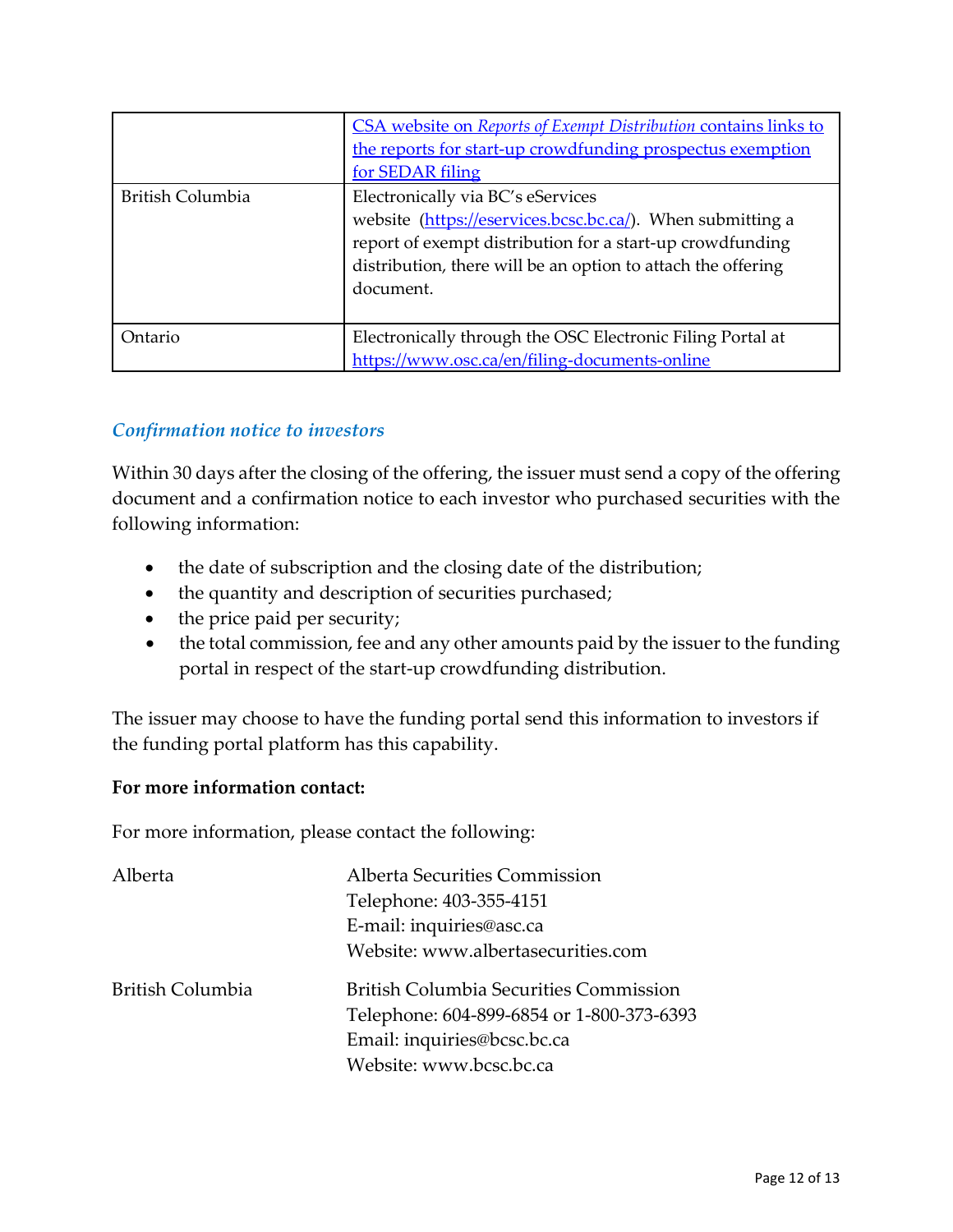|                  | CSA website on Reports of Exempt Distribution contains links to<br>the reports for start-up crowdfunding prospectus exemption<br>for SEDAR filing                                                                                         |
|------------------|-------------------------------------------------------------------------------------------------------------------------------------------------------------------------------------------------------------------------------------------|
| British Columbia | Electronically via BC's eServices<br>website (https://eservices.bcsc.bc.ca/). When submitting a<br>report of exempt distribution for a start-up crowdfunding<br>distribution, there will be an option to attach the offering<br>document. |
| Ontario          | Electronically through the OSC Electronic Filing Portal at<br>https://www.osc.ca/en/filing-documents-online                                                                                                                               |

## *Confirmation notice to investors*

Within 30 days after the closing of the offering, the issuer must send a copy of the offering document and a confirmation notice to each investor who purchased securities with the following information:

- the date of subscription and the closing date of the distribution;
- the quantity and description of securities purchased;
- the price paid per security;
- the total commission, fee and any other amounts paid by the issuer to the funding portal in respect of the start-up crowdfunding distribution.

The issuer may choose to have the funding portal send this information to investors if the funding portal platform has this capability.

#### **For more information contact:**

For more information, please contact the following:

| Alberta          | Alberta Securities Commission                                                                                                                        |
|------------------|------------------------------------------------------------------------------------------------------------------------------------------------------|
|                  | Telephone: 403-355-4151                                                                                                                              |
|                  | E-mail: inquiries@asc.ca                                                                                                                             |
|                  | Website: www.albertasecurities.com                                                                                                                   |
| British Columbia | <b>British Columbia Securities Commission</b><br>Telephone: 604-899-6854 or 1-800-373-6393<br>Email: inquiries@bcsc.bc.ca<br>Website: www.bcsc.bc.ca |